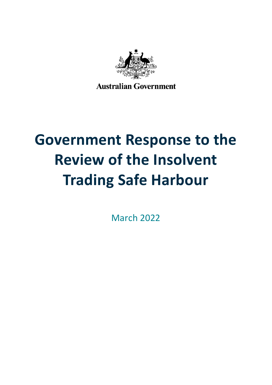

**Australian Government** 

# **Government Response to the Review of the Insolvent Trading Safe Harbour**

March 2022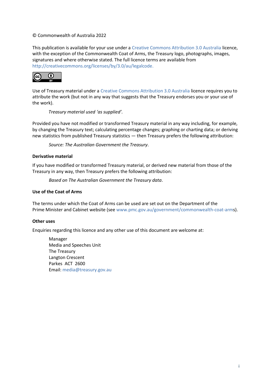#### © Commonwealth of Australia 2022

This publication is available for your use under a [Creative Commons Attribution 3.0 Australia](http://creativecommons.org/licenses/by/3.0/au/deed.en) licence, with the exception of the Commonwealth Coat of Arms, the Treasury logo, photographs, images, signatures and where otherwise stated. The full licence terms are available from [http://creativecommons.org/licenses/by/3.0/au/legalcode.](http://creativecommons.org/licenses/by/3.0/au/legalcode)



Use of Treasury material under a [Creative Commons Attribution 3.0 Australia](http://creativecommons.org/licenses/by/3.0/au/deed.en) licence requires you to attribute the work (but not in any way that suggests that the Treasury endorses you or your use of the work).

*Treasury material used 'as supplied'.*

Provided you have not modified or transformed Treasury material in any way including, for example, by changing the Treasury text; calculating percentage changes; graphing or charting data; or deriving new statistics from published Treasury statistics — then Treasury prefers the following attribution:

*Source: The Australian Government the Treasury*.

#### **Derivative material**

If you have modified or transformed Treasury material, or derived new material from those of the Treasury in any way, then Treasury prefers the following attribution:

*Based on The Australian Government the Treasury data*.

#### **Use of the Coat of Arms**

The terms under which the Coat of Arms can be used are set out on the Department of the Prime Minister and Cabinet website (se[e www.pmc.gov.au/government/commonwealth-coat-arms](http://www.pmc.gov.au/government/commonwealth-coat-arm)).

#### **Other uses**

Enquiries regarding this licence and any other use of this document are welcome at:

Manager Media and Speeches Unit The Treasury Langton Crescent Parkes ACT 2600 Email: [media@treasury.gov.au](mailto:media@treasury.gov.au)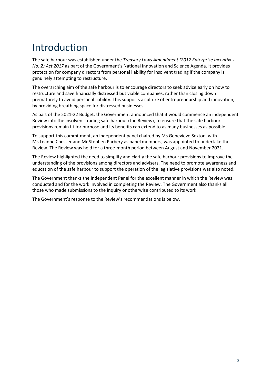## Introduction

The safe harbour was established under the *Treasury Laws Amendment (2017 Enterprise Incentives No. 2) Act 2017* as part of the Government's National Innovation and Science Agenda. It provides protection for company directors from personal liability for insolvent trading if the company is genuinely attempting to restructure.

The overarching aim of the safe harbour is to encourage directors to seek advice early on how to restructure and save financially distressed but viable companies, rather than closing down prematurely to avoid personal liability. This supports a culture of entrepreneurship and innovation, by providing breathing space for distressed businesses.

As part of the 2021-22 Budget, the Government announced that it would commence an independent Review into the insolvent trading safe harbour (the Review), to ensure that the safe harbour provisions remain fit for purpose and its benefits can extend to as many businesses as possible.

To support this commitment, an independent panel chaired by Ms Genevieve Sexton, with Ms Leanne Chesser and Mr Stephen Parbery as panel members, was appointed to undertake the Review. The Review was held for a three-month period between August and November 2021.

The Review highlighted the need to simplify and clarify the safe harbour provisions to improve the understanding of the provisions among directors and advisers. The need to promote awareness and education of the safe harbour to support the operation of the legislative provisions was also noted.

The Government thanks the independent Panel for the excellent manner in which the Review was conducted and for the work involved in completing the Review. The Government also thanks all those who made submissions to the inquiry or otherwise contributed to its work.

The Government's response to the Review's recommendations is below.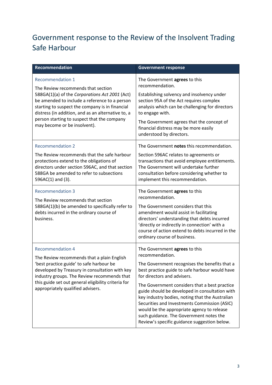### Government response to the Review of the Insolvent Trading Safe Harbour

| Recommendation                                                                                                                                                                                                                                                                                                                                           | <b>Government response</b>                                                                                                                                                                                                                                                                                                                                                                                                                                                                                                        |
|----------------------------------------------------------------------------------------------------------------------------------------------------------------------------------------------------------------------------------------------------------------------------------------------------------------------------------------------------------|-----------------------------------------------------------------------------------------------------------------------------------------------------------------------------------------------------------------------------------------------------------------------------------------------------------------------------------------------------------------------------------------------------------------------------------------------------------------------------------------------------------------------------------|
| <b>Recommendation 1</b><br>The Review recommends that section<br>588GA(1)(a) of the Corporations Act 2001 (Act)<br>be amended to include a reference to a person<br>starting to suspect the company is in financial<br>distress (in addition, and as an alternative to, a<br>person starting to suspect that the company<br>may become or be insolvent). | The Government agrees to this<br>recommendation.<br>Establishing solvency and insolvency under<br>section 95A of the Act requires complex<br>analysis which can be challenging for directors<br>to engage with.<br>The Government agrees that the concept of<br>financial distress may be more easily<br>understood by directors.                                                                                                                                                                                                 |
| <b>Recommendation 2</b><br>The Review recommends that the safe harbour<br>protections extend to the obligations of<br>directors under section 596AC, and that section<br>588GA be amended to refer to subsections<br>596AC(1) and (3).                                                                                                                   | The Government notes this recommendation.<br>Section 596AC relates to agreements or<br>transactions that avoid employee entitlements.<br>The Government will undertake further<br>consultation before considering whether to<br>implement this recommendation.                                                                                                                                                                                                                                                                    |
| <b>Recommendation 3</b><br>The Review recommends that section<br>588GA(1)(b) be amended to specifically refer to<br>debts incurred in the ordinary course of<br>business.                                                                                                                                                                                | The Government agrees to this<br>recommendation.<br>The Government considers that this<br>amendment would assist in facilitating<br>directors' understanding that debts incurred<br>'directly or indirectly in connection' with a<br>course of action extend to debts incurred in the<br>ordinary course of business.                                                                                                                                                                                                             |
| <b>Recommendation 4</b><br>The Review recommends that a plain English<br>'best practice guide' to safe harbour be<br>developed by Treasury in consultation with key<br>industry groups. The Review recommends that<br>this guide set out general eligibility criteria for<br>appropriately qualified advisers.                                           | The Government agrees to this<br>recommendation.<br>The Government recognises the benefits that a<br>best practice guide to safe harbour would have<br>for directors and advisers.<br>The Government considers that a best practice<br>guide should be developed in consultation with<br>key industry bodies, noting that the Australian<br>Securities and Investments Commission (ASIC)<br>would be the appropriate agency to release<br>such guidance. The Government notes the<br>Review's specific guidance suggestion below. |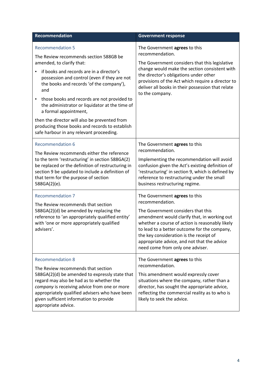| <b>Recommendation</b>                                                                                                                                                                                                                                                                                                                                                                                                                                                                                                               | <b>Government response</b>                                                                                                                                                                                                                                                                                                                                              |
|-------------------------------------------------------------------------------------------------------------------------------------------------------------------------------------------------------------------------------------------------------------------------------------------------------------------------------------------------------------------------------------------------------------------------------------------------------------------------------------------------------------------------------------|-------------------------------------------------------------------------------------------------------------------------------------------------------------------------------------------------------------------------------------------------------------------------------------------------------------------------------------------------------------------------|
| <b>Recommendation 5</b><br>The Review recommends section 588GB be<br>amended, to clarify that:<br>if books and records are in a director's<br>possession and control (even if they are not<br>the books and records 'of the company'),<br>and<br>those books and records are not provided to<br>$\bullet$<br>the administrator or liquidator at the time of<br>a formal appointment,<br>then the director will also be prevented from<br>producing those books and records to establish<br>safe harbour in any relevant proceeding. | The Government agrees to this<br>recommendation.<br>The Government considers that this legislative<br>change would make the section consistent with<br>the director's obligations under other<br>provisions of the Act which require a director to<br>deliver all books in their possession that relate<br>to the company.                                              |
| <b>Recommendation 6</b><br>The Review recommends either the reference<br>to the term 'restructuring' in section 588GA(2)<br>be replaced or the definition of restructuring in<br>section 9 be updated to include a definition of<br>that term for the purpose of section<br>588GA(2)(e).                                                                                                                                                                                                                                            | The Government agrees to this<br>recommendation.<br>Implementing the recommendation will avoid<br>confusion given the Act's existing definition of<br>'restructuring' in section 9, which is defined by<br>reference to restructuring under the small<br>business restructuring regime.                                                                                 |
| <b>Recommendation 7</b><br>The Review recommends that section<br>588GA(2)(d) be amended by replacing the<br>reference to 'an appropriately qualified entity'<br>with 'one or more appropriately qualified<br>advisers'.                                                                                                                                                                                                                                                                                                             | The Government agrees to this<br>recommendation.<br>The Government considers that this<br>amendment would clarify that, in working out<br>whether a course of action is reasonably likely<br>to lead to a better outcome for the company,<br>the key consideration is the receipt of<br>appropriate advice, and not that the advice<br>need come from only one adviser. |
| <b>Recommendation 8</b><br>The Review recommends that section<br>588GA(2)(d) be amended to expressly state that<br>regard may also be had as to whether the<br>company is receiving advice from one or more<br>appropriately qualified advisers who have been<br>given sufficient information to provide<br>appropriate advice.                                                                                                                                                                                                     | The Government agrees to this<br>recommendation.<br>This amendment would expressly cover<br>situations where the company, rather than a<br>director, has sought the appropriate advice,<br>reflecting the commercial reality as to who is<br>likely to seek the advice.                                                                                                 |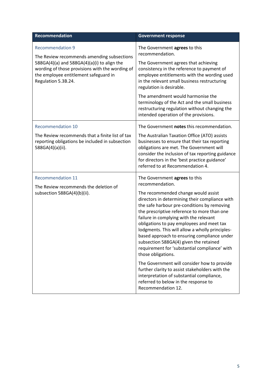| Recommendation                                                                                                                                                                                                                          | <b>Government response</b>                                                                                                                                                                                                                                                                                                                                                                                                                                                                                                                                                                                                                          |
|-----------------------------------------------------------------------------------------------------------------------------------------------------------------------------------------------------------------------------------------|-----------------------------------------------------------------------------------------------------------------------------------------------------------------------------------------------------------------------------------------------------------------------------------------------------------------------------------------------------------------------------------------------------------------------------------------------------------------------------------------------------------------------------------------------------------------------------------------------------------------------------------------------------|
| <b>Recommendation 9</b><br>The Review recommends amending subsections<br>588GA(4)(a) and 588GA(4)(a)(i) to align the<br>wording of those provisions with the wording of<br>the employee entitlement safeguard in<br>Regulation 5.3B.24. | The Government agrees to this<br>recommendation.                                                                                                                                                                                                                                                                                                                                                                                                                                                                                                                                                                                                    |
|                                                                                                                                                                                                                                         | The Government agrees that achieving<br>consistency in the reference to payment of<br>employee entitlements with the wording used<br>in the relevant small business restructuring<br>regulation is desirable.                                                                                                                                                                                                                                                                                                                                                                                                                                       |
|                                                                                                                                                                                                                                         | The amendment would harmonise the<br>terminology of the Act and the small business<br>restructuring regulation without changing the<br>intended operation of the provisions.                                                                                                                                                                                                                                                                                                                                                                                                                                                                        |
| <b>Recommendation 10</b>                                                                                                                                                                                                                | The Government notes this recommendation.                                                                                                                                                                                                                                                                                                                                                                                                                                                                                                                                                                                                           |
| The Review recommends that a finite list of tax<br>reporting obligations be included in subsection<br>588GA(4)(a)(ii).                                                                                                                  | The Australian Taxation Office (ATO) assists<br>businesses to ensure that their tax reporting<br>obligations are met. The Government will<br>consider the inclusion of tax reporting guidance<br>for directors in the 'best practice guidance'<br>referred to at Recommendation 4.                                                                                                                                                                                                                                                                                                                                                                  |
| <b>Recommendation 11</b><br>The Review recommends the deletion of<br>subsection 588GA(4)(b)(ii).                                                                                                                                        | The Government agrees to this<br>recommendation.<br>The recommended change would assist<br>directors in determining their compliance with<br>the safe harbour pre-conditions by removing<br>the prescriptive reference to more than one<br>failure in complying with the relevant<br>obligations to pay employees and meet tax<br>lodgments. This will allow a wholly principles-<br>based approach to ensuring compliance under<br>subsection 588GA(4) given the retained<br>requirement for 'substantial compliance' with<br>those obligations.<br>The Government will consider how to provide<br>further clarity to assist stakeholders with the |
|                                                                                                                                                                                                                                         | interpretation of substantial compliance,<br>referred to below in the response to<br>Recommendation 12.                                                                                                                                                                                                                                                                                                                                                                                                                                                                                                                                             |